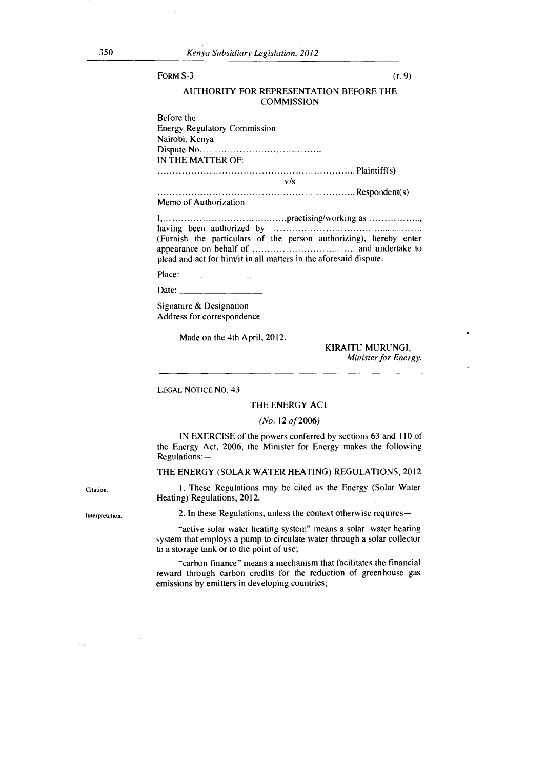#### LEGAL NOTICE NO. 43

#### THE ENERGY ACT

#### *(No.* 12 *of* 2006)

IN EXERCISE of the powers conferred by sections 63 and 110 of the Energy Act, 2006, the Minister for Energy makes the following Regulations: —

THE ENERGY (SOLAR WATER HEATING) REGULATIONS, 2012

1. These Regulations may be cited as the Energy (Solar Water Heating) Regulations, 2012.

2. In these Regulations, unless the context otherwise requires—

"active solar water heating system" means a solar water heating system that employs a pump to circulate water through a solar collector to a storage tank or to the point of use;

"carbon finance" means a mechanism that facilitates the financial reward through carbon credits for the reduction of greenhouse gas emissions by emitters in developing countries;

Interpretation.

Citation.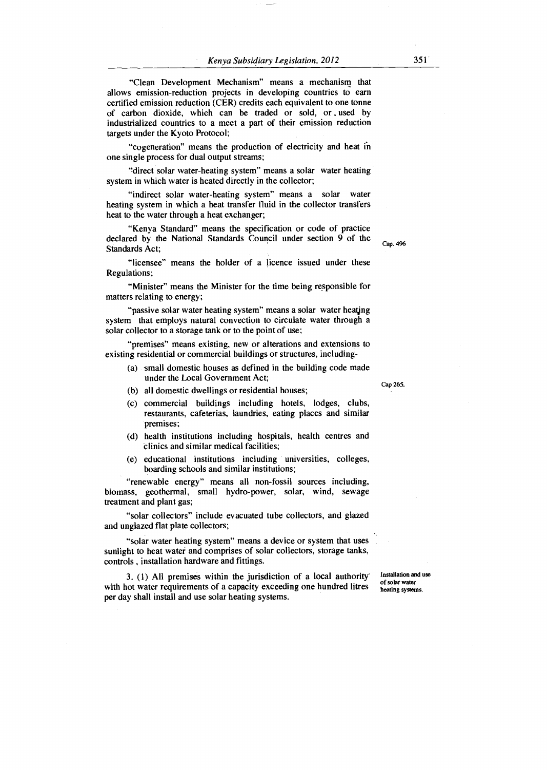"Clean Development Mechanism" means a mechanism that allows emission-reduction projects in developing countries to earn certified emission reduction (CER) credits each equivalent to one tonne of carbon dioxide, which can be traded or sold, or used by industrialized countries to a meet a part of their emission reduction targets under the Kyoto Protocol;

"cogeneration" means the production of electricity and heat in one single process for dual output streams;

"direct solar water-heating system" means a solar water heating system in which water is heated directly in the collector;

"indirect solar water-heating system" means a solar water heating system in which a heat transfer fluid in the collector transfers heat to the water through a heat exchanger;

"Kenya Standard" means the specification or code of practice declared by the National Standards Council under section 9 of the Standards Act;

"licensee" means the holder of a licence issued under these Regulations;

"Minister" means the Minister for the time being responsible for matters relating to energy;

"passive solar water heating system" means a solar water heating system that employs natural convection to circulate water through a solar collector to a storage tank or to the point of use;

"premises" means existing, new or alterations and extensions to existing residential or commercial buildings or structures, including-

- (a) small domestic houses as defined in the building code made under the Local Government Act;
- (b) all domestic dwellings or residential houses;
- (c) commercial buildings including hotels, lodges, clubs, restaurants, cafeterias, laundries, eating places and similar premises;
- (d) health institutions including hospitals, health centres and clinics and similar medical facilities;
- (e) educational institutions including universities, colleges, boarding schools and similar institutions;

"renewable energy" means all non-fossil sources including, biomass, geothermal, small hydro-power, solar, wind, sewage treatment and plant gas;

"solar collectors" include evacuated tube collectors, and glazed and unglazed flat plate collectors;

"solar water heating system" means a device or system that uses sunlight to heat water and comprises of solar collectors, storage tanks, controls , installation hardware and fittings.

3. (1) All premises within the jurisdiction of a local authority' with hot water requirements of a capacity exceeding one hundred litres per day shall install and use solar heating systems.

Installation and use of solar water heating systems.

Cap 265.

Cap. 496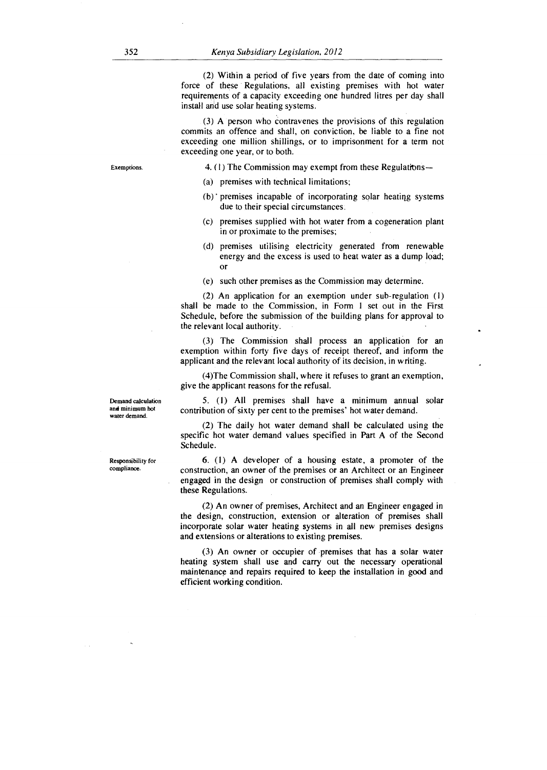(2) Within a period of five years from the date of coming into force of these Regulations, all existing premises with hot water requirements of a capacity exceeding one hundred litres per day shall install and use solar heating systems.

(3) A person who contravenes the provisions of this regulation commits an offence and shall, on conviction, be liable to a fine not exceeding one million shillings, or to imprisonment for a term not exceeding one year, or to both.

Exemptions. 4. (1) The Commission may exempt from these Regulations—

- (a) premises with technical limitations;
- (b) ' premises incapable of incorporating solar heatiqg systems due to their special circumstances.
- (c) premises supplied with hot water from a cogeneration plant in or proximate to the premises;
- (d) premises utilising electricity generated from renewable energy and the excess is used to heat water as a dump load; Or
- (e) such other premises as the Commission may determine.

(2) An application for an exemption under sub-regulation (1) shall be made to the Commission, in Form 1 set out in the First Schedule, before the submission of the building plans for approval to the relevant local authority.

(3) The Commission shall process an application for an exemption within forty five days of receipt thereof, and inform the applicant and the relevant local authority of its decision, in writing.

(4)The Commission shall, where it refuses to grant an exemption, give the applicant reasons for the refusal.

5. (1) All premises shall have a minimum annual solar contribution of sixty per cent to the premises' hot water demand.

(2) The daily hot water demand shall be calculated using the specific hot water demand values specified in Part A of the Second Schedule.

6. (1) A developer of a housing estate, a promoter of the construction, an owner of the premises or an Architect or an Engineer engaged in the design or construction of premises shall comply with these Regulations.

(2) An owner of premises, Architect and an Engineer engaged in the design, construction, extension or alteration of premises shall incorporate solar water heating systems in all new premises designs and extensions or alterations to existing premises.

(3) An owner or occupier of premises that has a solar water heating system shall use and carry out the necessary operational maintenance and repairs required to keep the installation in good and efficient working condition.

Responsibility for compliance.

Demand calculation and minimum hot water demand.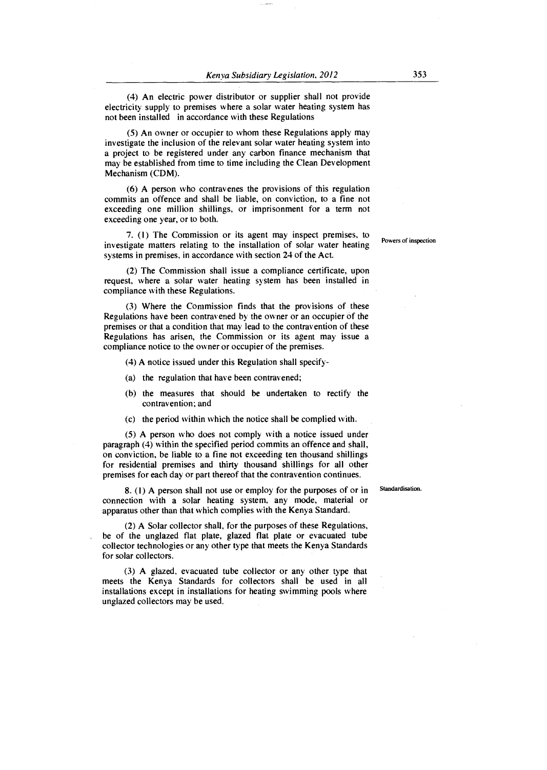(4) An electric power distributor or supplier shall not provide electricity supply to premises where a solar water heating system has not been installed in accordance with these Regulations

(5) An owner or occupier to whom these Regulations apply may investigate the inclusion of the relevant solar water heating system into a project to be registered under any carbon finance mechanism that may be established from time to time including the Clean Development Mechanism (CDM).

(6) A person who contravenes the provisions of this regulation commits an offence and shall be liable, on conviction, to a fine not exceeding one million shillings, or imprisonment for a term not exceeding one year, or to both.

7. (1) The Commission or its agent may inspect premises, to investigate matters relating to the installation of solar water heating systems in premises, in accordance with section 24 of the Act.

(2) The Commission shall issue a compliance certificate, upon request, where a solar water heating system has been installed in compliance with these Regulations.

(3) Where the Commission finds that the provisions of these Regulations have been contravened by the owner or an occupier of the premises or that a condition that may lead to the contravention of these Regulations has arisen, the Commission or its agent may issue a compliance notice to the owner or occupier of the premises.

(4) A notice issued under this Regulation shall specify-

- (a) the regulation that have been contravened;
- (b) the measures that should be undertaken to rectify the contravention; and
- (c) the period within which the notice shall be complied with.

(5) A person who does not comply with a notice issued under paragraph (4) within the specified period commits an offence and shall, on conviction, be liable to a fine not exceeding ten thousand shillings for residential premises and thirty thousand shillings for all other premises for each day or part thereof that the contravention continues.

8. (1) A person shall not use or employ for the purposes of or in connection with a solar heating system, any mode, material or apparatus other than that which complies with the Kenya Standard.

(2) A Solar collector shall, for the purposes of these Regulations, be of the unglazed flat plate, glazed flat plate or evacuated tube collector technologies or any other type that meets the Kenya Standards for solar collectors.

(3) A glazed, evacuated tube collector or any other type that meets the Kenya Standards for collectors shall be used in all installations except in installations for heating swimming pools where unglazed collectors may be used.

Standardisation.

Powers of inspection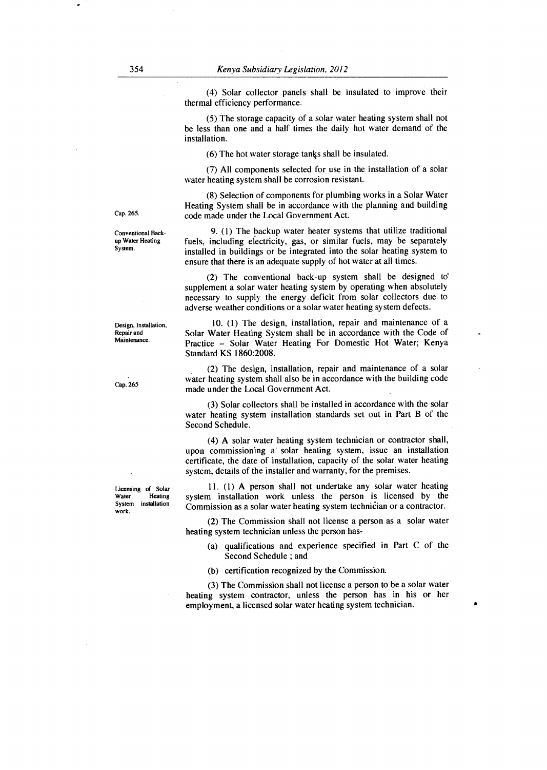(4) Solar collector panels shall be insulated to improve their thermal efficiency performance.

(5) The storage capacity of a solar water heating system shall not be less than one and a half times the daily hot water demand of the installation.

(6) The hot water storage tanks shall be insulated.

(7) All components selected for use in the installation of a solar water heating system shall be corrosion resistant.

(8) Selection of components for plumbing works in a Solar Water Heating System shall be in accordance with the planning and building Cap. 265. code made under the Local Government Act.

> 9. (1) The backup water heater systems that utilize traditional fuels, including electricity, gas, or similar fuels, may be separately installed in buildings or be integrated into the solar heating system to ensure that there is an adequate supply of hot water at all times.

> (2) The conventional back-up system shall be designed to supplement a solar water heating system by operating when absolutely necessary to supply the energy deficit from solar collectors due to adverse weather conditions or a solar water heating system defects.

> 10. (1) The design, installation, repair and maintenance of a Solar Water Heating System shall be in accordance with the Code of Practice — Solar Water Heating For Domestic Hot Water; Kenya Standard KS 1860:2008.

> (2) The design, installation, repair and maintenance of a solar water heating system shall also be in accordance with the building code made under the Local Government Act.

> (3) Solar collectors shall be installed in accordance with the solar water heating system installation standards set out in Part B of the Second Schedule.

> (4) A solar water heating system technician or contractor shall, upon commissioning a' solar heating system, issue an installation certificate, the date of installation, capacity of the solar water heating system, details of the installer and warranty, for the premises.

> 11. (1) A person shall not undertake any solar water heating system installation work unless the person is licensed by the Commission as a solar water heating system technician or a contractor.

> (2) The Commission shall not license a person as a solar water heating system technician unless the person has-

- (a) qualifications and experience specified in Part C of the Second Schedule ; and
- (b) certification recognized by the Commission.

(3) The Commission shall not license a person to be a solar water heating system contractor, unless the person has in his or her employment, a licensed solar water heating system technician. •

Conventional Backup Water Heating System.

Design, Installation, Repair and **Maintenance** 

Cap. 265

Licensing of Solar<br>Water Heating Water Heating<br>System installation installation work.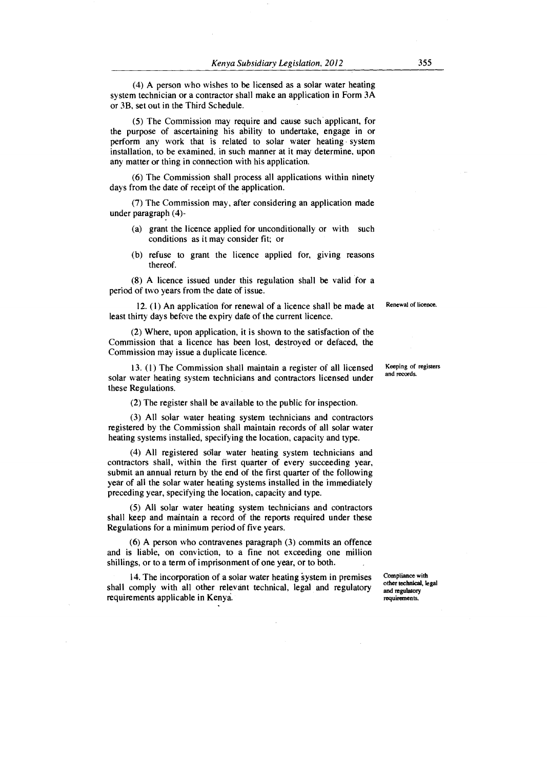(4) A person who wishes to be licensed as a solar water heating system technician or a contractor shall make an application in Form 3A or 3B, set out in the Third Schedule.

(5) The Commission may require and cause such applicant, for the purpose of ascertaining his ability to undertake, engage in or perform any work that is related to solar water heating system installation, to be examined, in such manner at it may determine, upon any matter or thing in connection with his application.

(6) The Commission shall process all applications within ninety days from the date of receipt of the application.

(7) The Commission may, after considering an application made under paragraph (4)-

- (a) grant the licence applied for unconditionally or with such conditions as it may consider fit; or
- (b) refuse to grant the licence applied for, giving reasons thereof.

(8) A licence issued under this regulation shall be valid for a period of two years from the date of issue.

12. (1) An application for renewal of a licence shall be made at least thirty days before the expiry date of the current licence.

(2) Where, upon application, it is shown to the satisfaction of the Commission that a licence has been lost, destroyed or defaced, the Commission may issue a duplicate licence.

13. (1) The Commission shall maintain a register of all licensed solar water heating system technicians and contractors licensed under these Regulations.

(2) The register shall be available to the public for inspection.

(3) All solar water heating system technicians and contractors registered by the Commission shall maintain records of all solar water heating systems installed, specifying the location, capacity and type.

(4) All registered solar water heating system technicians and contractors shall, within the first quarter of every succeeding year, submit an annual return by the end of the first quarter of the following year of all the solar water heating systems installed in the immediately preceding year, specifying the location, capacity and type.

(5) All solar water heating system technicians and contractors shall keep and maintain a record of the reports required under these Regulations for a minimum period of five years.

(6) A person who contravenes paragraph (3) commits an offence and is liable, on conviction, to a fine not exceeding one million shillings, or to a term of imprisonment of one year, or to both.

14. The incorporation of a solar water heating system in premises shall comply with all other relevant technical, legal and regulatory requirements applicable in Kenya.

Compliance with other technical, legal and regulatory requirements.

Keeping of registers and records.

Renewal of licence.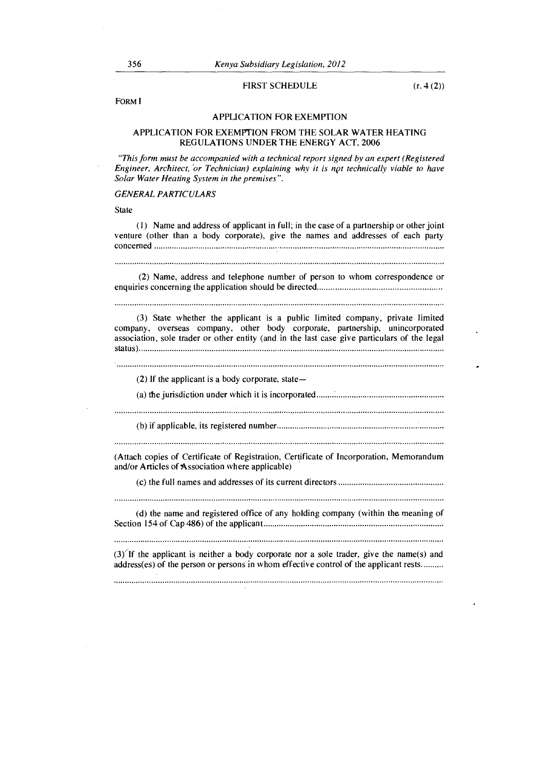#### FIRST SCHEDULE (r. 4 (2))

FORM I

### APPLICATION FOR EXEMPTION

## APPLICATION FOR EXEMPTION FROM THE SOLAR WATER HEATING REGULATIONS UNDER THE ENERGY ACT, 2006

*"This form must be accompanied with a technical report signed by an expert (Registered Engineer, Architect, or Technician) explaining why it is net technically viable to have Solar Water Heating System in the premises".* 

# *GENERAL PARTICULARS*

**State** 

(1) Name and address of applicant in full; in the case of a partnership or other joint venture (other than a body corporate), give the names and addresses of each party concerned

(2) Name, address and telephone number of person to whom correspondence or enquiries concerning the application should be directed

(3) State whether the applicant is a public limited company, private limited company, overseas company, other body corporate, partnership, unincorporated association, sole trader or other entity (and in the last case give particulars of the legal status)

(2) If the applicant is a body corporate, state—

(a) the jurisdiction under which it is incorporated

(b) if applicable, its registered number

(Attach copies of Certificate of Registration, Certificate of Incorporation, Memorandum and/or Articles of Association where applicable)

(c) the full names and addresses of its current directors

(d) the name and registered office of any holding company (within the meaning of Section 154 of Cap 486) of the applicant

 $(3)$  If the applicant is neither a body corporate nor a sole trader, give the name(s) and address(es) of the person or persons in whom effective control of the applicant rests.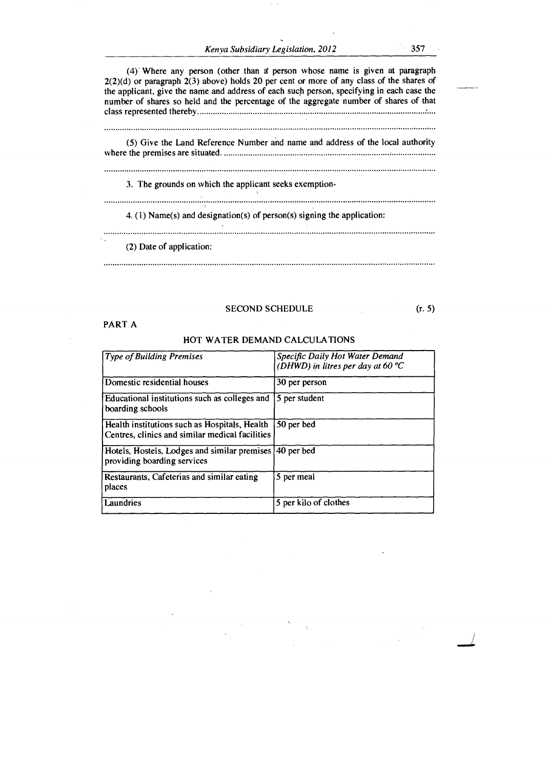*Kenya Subsidiary Legislation, 2012* 357

(4) Where any person (other than *zi* person whose name is given at paragraph 2(2)(d) or paragraph 2(3) above) holds 20 per cent or more of any class of the shares of the applicant, give the name and address of each such person, specifying in each case the number of shares so held and the percentage of the aggregate number of shares of that class represented thereby (5) Give the Land Reference Number and name and address of the local authority where the premises are situated. 3. The grounds on which the applicant seeks exemption-4. (1) Name(s) and designation(s) of person(s) signing the application: (2) Date of application:

# SECOND SCHEDULE (r. 5)

PART A

#### HOT WATER DEMAND CALCULATIONS

| <b>Type of Building Premises</b>                                                                 | Specific Daily Hot Water Demand<br>(DHWD) in litres per day at 60 $^{\circ}C$ |
|--------------------------------------------------------------------------------------------------|-------------------------------------------------------------------------------|
| Domestic residential houses                                                                      | 30 per person                                                                 |
| Educational institutions such as colleges and<br>boarding schools                                | 5 per student                                                                 |
| Health institutions such as Hospitals, Health<br>Centres, clinics and similar medical facilities | 50 per bed                                                                    |
| Hotels, Hostels, Lodges and similar premises<br>providing boarding services                      | 40 per bed                                                                    |
| Restaurants, Cafeterias and similar eating<br>places                                             | 5 per meal                                                                    |
| Laundries                                                                                        | 5 per kilo of clothes                                                         |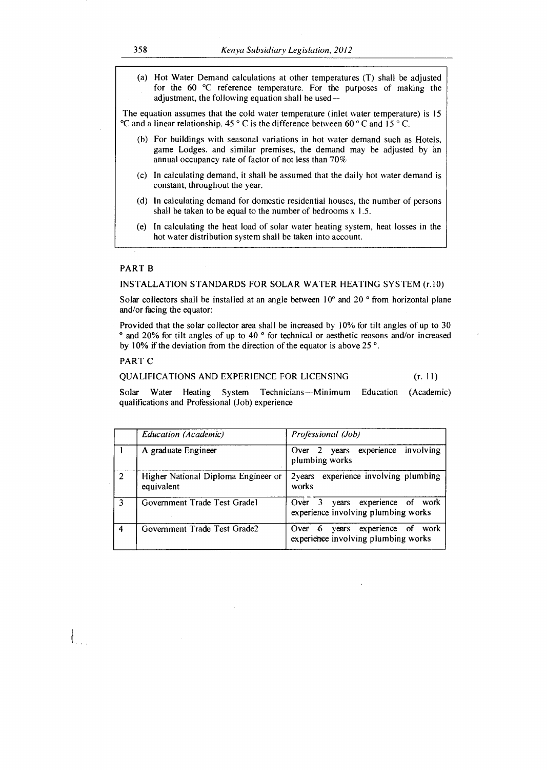(a) Hot Water Demand calculations at other temperatures (T) shall be adjusted for the 60 °C reference temperature. For the purposes of making the adjustment, the following equation shall be used—

The equation assumes that the cold water temperature (inlet water temperature) is 15 °C and a linear relationship. 45 ° C is the difference between 60 ° C and 15 ° C.

- (b) For buildings with seasonal variations in hot water demand such as Hotels, game Lodges. and similar premises, the demand may be adjusted by an annual occupancy rate of factor of not less than 70%
- (c) In calculating demand, it shall be assumed that the daily hot water demand is constant, throughout the year.
- (d) In calculating demand for domestic residential houses, the number of persons shall be taken to be equal to the number of bedrooms  $x \, 1.5$ .
- (e) In calculating the heat load of solar water heating system, heat losses in the hot water distribution system shall be taken into account.

### PART B

### INSTALLATION STANDARDS FOR SOLAR WATER HEATING SYSTEM (r.10)

Solar collectors shall be installed at an angle between  $10^{\circ}$  and  $20^{\circ}$  from horizontal plane and/or facing the equator:

Provided that the solar collector area shall be increased by 10% for tilt angles of up to 30 ° and 20% for tilt angles of up to 40 ° for technical or aesthetic reasons and/or increased by 10% if the deviation from the direction of the equator is above 25 °.

# PART C

 $\int_{\mathbb{R}^{n}}$ 

# QUALIFICATIONS AND EXPERIENCE FOR LICENSING (r. 11)

Solar Water Heating System Technicians—Minimum Education (Academic) qualifications and Professional (Job) experience

|   | Education (Academic)                              | Professional (Job)                                                          |
|---|---------------------------------------------------|-----------------------------------------------------------------------------|
|   | A graduate Engineer                               | Over 2 years experience involving<br>plumbing works                         |
|   | Higher National Diploma Engineer or<br>equivalent | experience involving plumbing<br>2 <sub>years</sub><br>works                |
|   | Government Trade Test Gradel                      | years experience of work<br>Over $3$<br>experience involving plumbing works |
| Δ | Government Trade Test Grade2                      | years experience of work<br>Over $6$<br>experience involving plumbing works |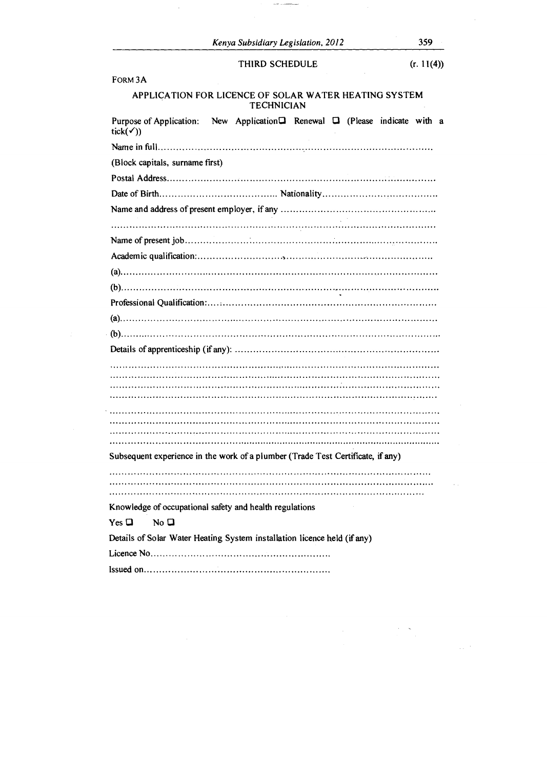$\sim$   $\sim$   $\sim$   $\sim$ 

 $\sim$   $\sim$ 

 $\Delta\phi$  ,  $\theta$ 

 $\label{eq:2} \frac{1}{\sqrt{2}}\sum_{i=1}^n \frac{1}{\sqrt{2}}\sum_{j=1}^n \frac{1}{j!} \sum_{j=1}^n \frac{1}{j!} \sum_{j=1}^n \frac{1}{j!} \sum_{j=1}^n \frac{1}{j!} \sum_{j=1}^n \frac{1}{j!} \sum_{j=1}^n \frac{1}{j!} \sum_{j=1}^n \frac{1}{j!} \sum_{j=1}^n \frac{1}{j!} \sum_{j=1}^n \frac{1}{j!} \sum_{j=1}^n \frac{1}{j!} \sum_{j=1}^n \frac{1}{$ 

FORM 3A

÷

# APPLICATION FOR LICENCE OF SOLAR WATER HEATING SYSTEM TECHNICIAN

| Purpose of Application: New Application <sup>1</sup> Renewal <sup>1</sup> (Please indicate with a<br>tick( <i>v</i> )) |
|------------------------------------------------------------------------------------------------------------------------|
|                                                                                                                        |
| (Block capitals, surname first)                                                                                        |
|                                                                                                                        |
|                                                                                                                        |
|                                                                                                                        |
|                                                                                                                        |
|                                                                                                                        |
|                                                                                                                        |
|                                                                                                                        |
|                                                                                                                        |
|                                                                                                                        |
|                                                                                                                        |
|                                                                                                                        |
|                                                                                                                        |
|                                                                                                                        |
|                                                                                                                        |
|                                                                                                                        |
|                                                                                                                        |
|                                                                                                                        |
|                                                                                                                        |
| Subsequent experience in the work of a plumber (Trade Test Certificate, if any)                                        |
|                                                                                                                        |
|                                                                                                                        |
| Knowledge of occupational safety and health regulations                                                                |
| $Yes \Box$<br>No <sub>D</sub>                                                                                          |
| Details of Solar Water Heating System installation licence held (if any)                                               |
|                                                                                                                        |
|                                                                                                                        |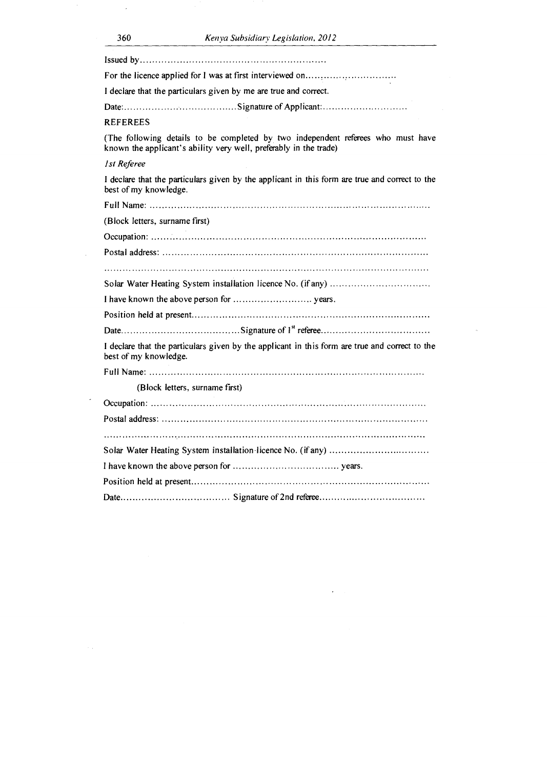| I declare that the particulars given by me are true and correct.                                                                                      |
|-------------------------------------------------------------------------------------------------------------------------------------------------------|
|                                                                                                                                                       |
| REFEREES                                                                                                                                              |
| (The following details to be completed by two independent referees who must have<br>known the applicant's ability very well, preferably in the trade) |
| 1st Referee                                                                                                                                           |
| I declare that the particulars given by the applicant in this form are true and correct to the<br>best of my knowledge.                               |
|                                                                                                                                                       |
| (Block letters, surname first)                                                                                                                        |
|                                                                                                                                                       |
|                                                                                                                                                       |
|                                                                                                                                                       |
|                                                                                                                                                       |
|                                                                                                                                                       |
|                                                                                                                                                       |
|                                                                                                                                                       |
| I declare that the particulars given by the applicant in this form are true and correct to the<br>best of my knowledge.                               |
|                                                                                                                                                       |
| (Block letters, surname first)                                                                                                                        |
|                                                                                                                                                       |
|                                                                                                                                                       |
|                                                                                                                                                       |
|                                                                                                                                                       |
|                                                                                                                                                       |
|                                                                                                                                                       |
|                                                                                                                                                       |

.

J.

 $\sim$   $\alpha$ 

 $\hat{\boldsymbol{\beta}}$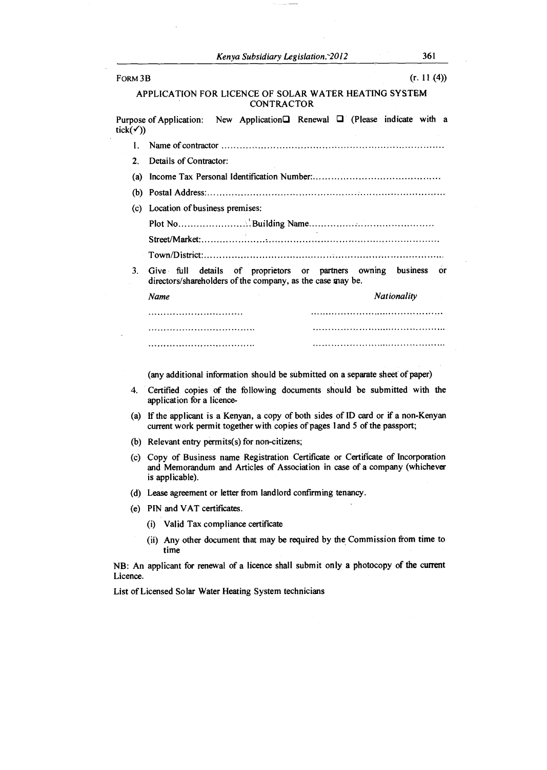| FORM 3B          | (r. 11(4))                                                                                                                                                     |
|------------------|----------------------------------------------------------------------------------------------------------------------------------------------------------------|
|                  | APPLICATION FOR LICENCE OF SOLAR WATER HEATING SYSTEM<br><b>CONTRACTOR</b>                                                                                     |
| tick( <i>Y</i> ) | New Application Renewal $\Box$ (Please indicate with a<br>Purpose of Application:                                                                              |
| 1.               |                                                                                                                                                                |
| $2_{\cdot}$      | Details of Contractor:                                                                                                                                         |
| (a)              |                                                                                                                                                                |
|                  |                                                                                                                                                                |
|                  | (c) Location of business premises:                                                                                                                             |
|                  |                                                                                                                                                                |
|                  |                                                                                                                                                                |
|                  |                                                                                                                                                                |
| 3.               | details of proprietors or partners owning business or<br>Give full<br>directors/shareholders of the company, as the case may be.                               |
|                  | <b>Nationality</b><br>Name                                                                                                                                     |
|                  |                                                                                                                                                                |
|                  |                                                                                                                                                                |
|                  |                                                                                                                                                                |
|                  | (any additional information should be submitted on a separate sheet of paper)                                                                                  |
| 4.               | Certified copies of the following documents should be submitted with the<br>application for a licence-                                                         |
| (a)              | If the applicant is a Kenyan, a copy of both sides of ID card or if a non-Kenyan<br>current work permit together with copies of pages 1 and 5 of the passport; |

- (b) Relevant entry permits(s) for non-citizens;
- (c) Copy of Business name Registration Certificate or Certificate of Incorporation and Memorandum and Articles of Association in case of a company (whichever is applicable).
- (d) Lease agreement or letter from landlord confirming tenancy.
- (e) PIN and VAT certificates.
	- (i) Valid Tax compliance certificate
	- (ii) Any other document that may be required by the Commission from time to time

NB: An applicant for renewal of a licence shall submit only a photocopy of the current Licence.

List of Licensed Solar Water Heating System technicians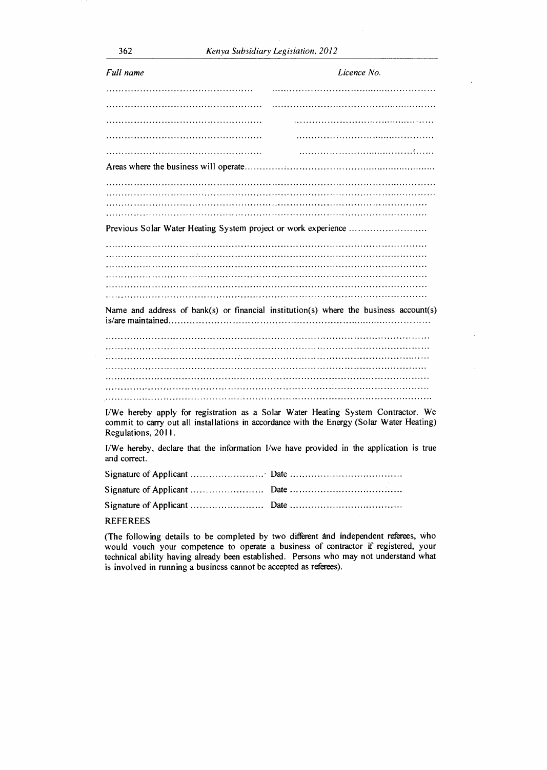| Full name                                                                                                                                                                                            | Licence No.                                                                             |  |
|------------------------------------------------------------------------------------------------------------------------------------------------------------------------------------------------------|-----------------------------------------------------------------------------------------|--|
|                                                                                                                                                                                                      |                                                                                         |  |
|                                                                                                                                                                                                      |                                                                                         |  |
|                                                                                                                                                                                                      |                                                                                         |  |
|                                                                                                                                                                                                      |                                                                                         |  |
|                                                                                                                                                                                                      |                                                                                         |  |
|                                                                                                                                                                                                      |                                                                                         |  |
|                                                                                                                                                                                                      |                                                                                         |  |
|                                                                                                                                                                                                      |                                                                                         |  |
|                                                                                                                                                                                                      |                                                                                         |  |
|                                                                                                                                                                                                      |                                                                                         |  |
| Previous Solar Water Heating System project or work experience                                                                                                                                       |                                                                                         |  |
|                                                                                                                                                                                                      |                                                                                         |  |
|                                                                                                                                                                                                      |                                                                                         |  |
|                                                                                                                                                                                                      |                                                                                         |  |
|                                                                                                                                                                                                      |                                                                                         |  |
|                                                                                                                                                                                                      |                                                                                         |  |
|                                                                                                                                                                                                      |                                                                                         |  |
|                                                                                                                                                                                                      | Name and address of bank(s) or financial institution(s) where the business account(s)   |  |
|                                                                                                                                                                                                      |                                                                                         |  |
|                                                                                                                                                                                                      |                                                                                         |  |
|                                                                                                                                                                                                      |                                                                                         |  |
|                                                                                                                                                                                                      |                                                                                         |  |
|                                                                                                                                                                                                      |                                                                                         |  |
|                                                                                                                                                                                                      |                                                                                         |  |
|                                                                                                                                                                                                      |                                                                                         |  |
| I/We hereby apply for registration as a Solar Water Heating System Contractor. We<br>commit to carry out all installations in accordance with the Energy (Solar Water Heating)<br>Regulations, 2011. |                                                                                         |  |
| and correct.                                                                                                                                                                                         | I/We hereby, declare that the information I/we have provided in the application is true |  |
|                                                                                                                                                                                                      |                                                                                         |  |
|                                                                                                                                                                                                      |                                                                                         |  |
|                                                                                                                                                                                                      |                                                                                         |  |

# REFEREES

(The following details to be completed by two different and independent referees, who would vouch your competence to operate a business of contractor if registered, your technical ability having already been established. Persons who may not understand what is involved in running a business cannot be accepted as referees).